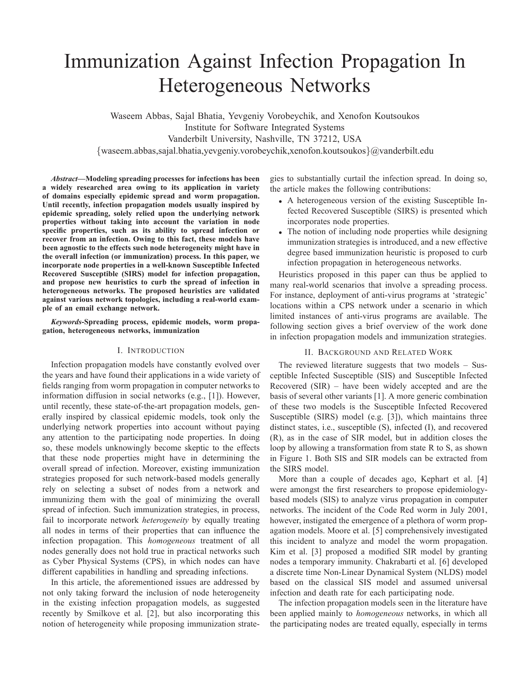# Immunization Against Infection Propagation In Heterogeneous Networks

Waseem Abbas, Sajal Bhatia, Yevgeniy Vorobeychik, and Xenofon Koutsoukos Institute for Software Integrated Systems Vanderbilt University, Nashville, TN 37212, USA {waseem.abbas,sajal.bhatia,yevgeniy.vorobeychik,xenofon.koutsoukos}@vanderbilt.edu

*Abstract***—Modeling spreading processes for infections has been a widely researched area owing to its application in variety of domains especially epidemic spread and worm propagation. Until recently, infection propagation models usually inspired by epidemic spreading, solely relied upon the underlying network properties without taking into account the variation in node specific properties, such as its ability to spread infection or recover from an infection. Owing to this fact, these models have been agnostic to the effects such node heterogeneity might have in the overall infection (or immunization) process. In this paper, we incorporate node properties in a well-known Susceptible Infected Recovered Susceptible (SIRS) model for infection propagation, and propose new heuristics to curb the spread of infection in heterogeneous networks. The proposed heuristics are validated against various network topologies, including a real-world example of an email exchange network.**

*Keywords***-Spreading process, epidemic models, worm propagation, heterogeneous networks, immunization**

#### I. INTRODUCTION

Infection propagation models have constantly evolved over the years and have found their applications in a wide variety of fields ranging from worm propagation in computer networks to information diffusion in social networks (e.g., [1]). However, until recently, these state-of-the-art propagation models, generally inspired by classical epidemic models, took only the underlying network properties into account without paying any attention to the participating node properties. In doing so, these models unknowingly become skeptic to the effects that these node properties might have in determining the overall spread of infection. Moreover, existing immunization strategies proposed for such network-based models generally rely on selecting a subset of nodes from a network and immunizing them with the goal of minimizing the overall spread of infection. Such immunization strategies, in process, fail to incorporate network *heterogeneity* by equally treating all nodes in terms of their properties that can influence the infection propagation. This *homogeneous* treatment of all nodes generally does not hold true in practical networks such as Cyber Physical Systems (CPS), in which nodes can have different capabilities in handling and spreading infections.

In this article, the aforementioned issues are addressed by not only taking forward the inclusion of node heterogeneity in the existing infection propagation models, as suggested recently by Smilkove et al. [2], but also incorporating this notion of heterogeneity while proposing immunization strategies to substantially curtail the infection spread. In doing so, the article makes the following contributions:

- A heterogeneous version of the existing Susceptible Infected Recovered Susceptible (SIRS) is presented which incorporates node properties.
- The notion of including node properties while designing immunization strategies is introduced, and a new effective degree based immunization heuristic is proposed to curb infection propagation in heterogeneous networks.

Heuristics proposed in this paper can thus be applied to many real-world scenarios that involve a spreading process. For instance, deployment of anti-virus programs at 'strategic' locations within a CPS network under a scenario in which limited instances of anti-virus programs are available. The following section gives a brief overview of the work done in infection propagation models and immunization strategies.

## II. BACKGROUND AND RELATED WORK

The reviewed literature suggests that two models – Susceptible Infected Susceptible (SIS) and Susceptible Infected Recovered (SIR) – have been widely accepted and are the basis of several other variants [1]. A more generic combination of these two models is the Susceptible Infected Recovered Susceptible (SIRS) model (e.g. [3]), which maintains three distinct states, i.e., susceptible (S), infected (I), and recovered (R), as in the case of SIR model, but in addition closes the loop by allowing a transformation from state R to S, as shown in Figure 1. Both SIS and SIR models can be extracted from the SIRS model.

More than a couple of decades ago, Kephart et al. [4] were amongst the first researchers to propose epidemiologybased models (SIS) to analyze virus propagation in computer networks. The incident of the Code Red worm in July 2001, however, instigated the emergence of a plethora of worm propagation models. Moore et al. [5] comprehensively investigated this incident to analyze and model the worm propagation. Kim et al. [3] proposed a modified SIR model by granting nodes a temporary immunity. Chakrabarti et al. [6] developed a discrete time Non-Linear Dynamical System (NLDS) model based on the classical SIS model and assumed universal infection and death rate for each participating node.

The infection propagation models seen in the literature have been applied mainly to *homogeneous* networks, in which all the participating nodes are treated equally, especially in terms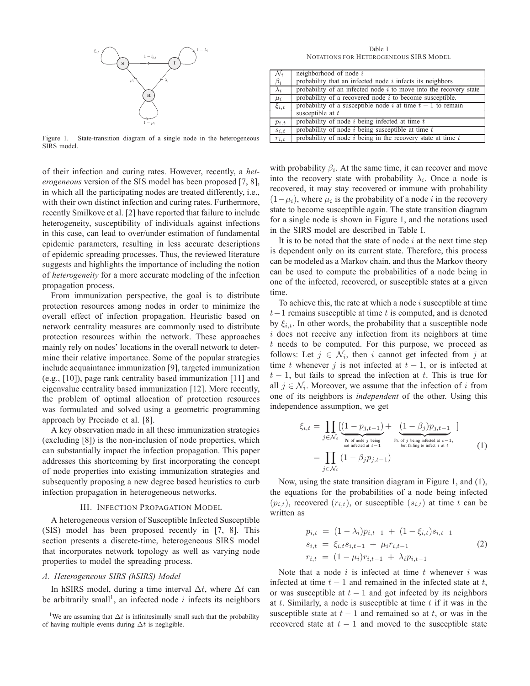

Figure 1. State-transition diagram of a single node in the heterogeneous SIRS model.

of their infection and curing rates. However, recently, a *heterogeneous* version of the SIS model has been proposed [7, 8], in which all the participating nodes are treated differently, i.e., with their own distinct infection and curing rates. Furthermore, recently Smilkove et al. [2] have reported that failure to include heterogeneity, susceptibility of individuals against infections in this case, can lead to over/under estimation of fundamental epidemic parameters, resulting in less accurate descriptions of epidemic spreading processes. Thus, the reviewed literature suggests and highlights the importance of including the notion of *heterogeneity* for a more accurate modeling of the infection propagation process.

From immunization perspective, the goal is to distribute protection resources among nodes in order to minimize the overall effect of infection propagation. Heuristic based on network centrality measures are commonly used to distribute protection resources within the network. These approaches mainly rely on nodes' locations in the overall network to determine their relative importance. Some of the popular strategies include acquaintance immunization [9], targeted immunization (e.g., [10]), page rank centrality based immunization [11] and eigenvalue centrality based immunization [12]. More recently, the problem of optimal allocation of protection resources was formulated and solved using a geometric programming approach by Preciado et al. [8].

A key observation made in all these immunization strategies (excluding [8]) is the non-inclusion of node properties, which can substantially impact the infection propagation. This paper addresses this shortcoming by first incorporating the concept of node properties into existing immunization strategies and subsequently proposing a new degree based heuristics to curb infection propagation in heterogeneous networks.

#### III. INFECTION PROPAGATION MODEL

A heterogeneous version of Susceptible Infected Susceptible (SIS) model has been proposed recently in [7, 8]. This section presents a discrete-time, heterogeneous SIRS model that incorporates network topology as well as varying node properties to model the spreading process.

### *A. Heterogeneous SIRS (hSIRS) Model*

In hSIRS model, during a time interval  $\Delta t$ , where  $\Delta t$  can be arbitrarily small<sup>1</sup>, an infected node i infects its neighbors

<sup>1</sup>We are assuming that  $\Delta t$  is infinitesimally small such that the probability of having multiple events during  $\Delta t$  is negligible.

Table I NOTATIONS FOR HETEROGENEOUS SIRS MODEL

| $\mathcal{N}_i$ | neighborhood of node $i$                                            |
|-----------------|---------------------------------------------------------------------|
| $\beta_i$       | probability that an infected node $i$ infects its neighbors         |
| $\lambda_i$     | probability of an infected node $i$ to move into the recovery state |
| $\mu_i$         | probability of a recovered node $i$ to become susceptible.          |
| $\xi_{i,t}$     | probability of a susceptible node i at time $t-1$ to remain         |
|                 | susceptible at $t$                                                  |
| $p_{i,t}$       | probability of node $i$ being infected at time $t$                  |
| $s_{i,t}$       | probability of node $i$ being susceptible at time $t$               |
| $r_{i,t}$       | probability of node $i$ being in the recovery state at time $t$     |

with probability  $\beta_i$ . At the same time, it can recover and move into the recovery state with probability  $\lambda_i$ . Once a node is recovered, it may stay recovered or immune with probability  $(1 - \mu_i)$ , where  $\mu_i$  is the probability of a node *i* in the recovery state to become susceptible again. The state transition diagram for a single node is shown in Figure 1, and the notations used in the SIRS model are described in Table I.

It is to be noted that the state of node  $i$  at the next time step is dependent only on its current state. Therefore, this process can be modeled as a Markov chain, and thus the Markov theory can be used to compute the probabilities of a node being in one of the infected, recovered, or susceptible states at a given time.

To achieve this, the rate at which a node  $i$  susceptible at time  $t-1$  remains susceptible at time t is computed, and is denoted by  $\xi_{i,t}$ . In other words, the probability that a susceptible node  $i$  does not receive any infection from its neighbors at time t needs to be computed. For this purpose, we proceed as follows: Let  $j \in \mathcal{N}_i$ , then i cannot get infected from j at time t whenever j is not infected at  $t - 1$ , or is infected at  $t - 1$ , but fails to spread the infection at t. This is true for all  $j \in \mathcal{N}_i$ . Moreover, we assume that the infection of i from one of its neighbors is *independent* of the other. Using this independence assumption, we get

$$
\xi_{i,t} = \prod_{j \in \mathcal{N}_i} \underbrace{\left(1 - p_{j,t-1}\right)}_{\text{pr. of node } j \text{ being}}
$$
\n
$$
= \prod_{j \in \mathcal{N}_i} \left(1 - \beta_j p_{j,t-1}\right)
$$
\n
$$
= \prod_{j \in \mathcal{N}_i} \left(1 - \beta_j p_{j,t-1}\right)
$$
\n
$$
(1)
$$
\n
$$
(1)
$$

Now, using the state transition diagram in Figure 1, and (1), the equations for the probabilities of a node being infected  $(p_{i,t})$ , recovered  $(r_{i,t})$ , or susceptible  $(s_{i,t})$  at time t can be written as

$$
p_{i,t} = (1 - \lambda_i) p_{i,t-1} + (1 - \xi_{i,t}) s_{i,t-1}
$$
  
\n
$$
s_{i,t} = \xi_{i,t} s_{i,t-1} + \mu_i r_{i,t-1}
$$
  
\n
$$
r_{i,t} = (1 - \mu_i) r_{i,t-1} + \lambda_i p_{i,t-1}
$$
\n(2)

Note that a node  $i$  is infected at time  $t$  whenever  $i$  was infected at time  $t - 1$  and remained in the infected state at t, or was susceptible at  $t - 1$  and got infected by its neighbors at t. Similarly, a node is susceptible at time  $t$  if it was in the susceptible state at  $t - 1$  and remained so at  $t$ , or was in the recovered state at  $t - 1$  and moved to the susceptible state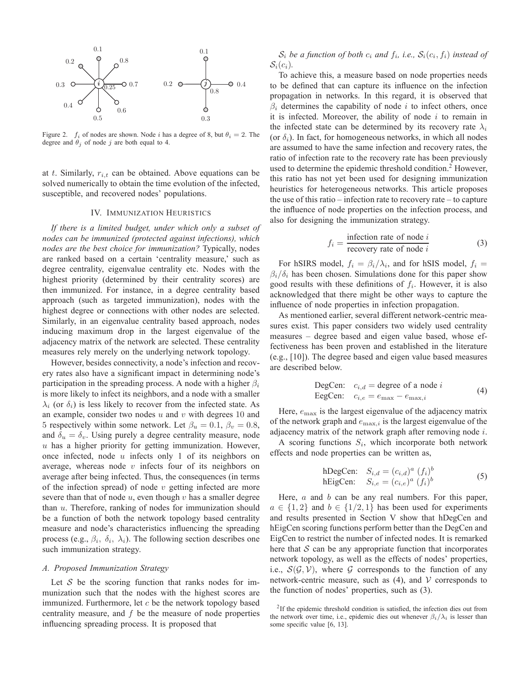

Figure 2.  $f_i$  of nodes are shown. Node i has a degree of 8, but  $\theta_i = 2$ . The degree and  $\theta_j$  of node j are both equal to 4.

at t. Similarly,  $r_{i,t}$  can be obtained. Above equations can be solved numerically to obtain the time evolution of the infected, susceptible, and recovered nodes' populations.

#### IV. IMMUNIZATION HEURISTICS

*If there is a limited budget, under which only a subset of nodes can be immunized (protected against infections), which nodes are the best choice for immunization?* Typically, nodes are ranked based on a certain 'centrality measure,' such as degree centrality, eigenvalue centrality etc. Nodes with the highest priority (determined by their centrality scores) are then immunized. For instance, in a degree centrality based approach (such as targeted immunization), nodes with the highest degree or connections with other nodes are selected. Similarly, in an eigenvalue centrality based approach, nodes inducing maximum drop in the largest eigenvalue of the adjacency matrix of the network are selected. These centrality measures rely merely on the underlying network topology.

However, besides connectivity, a node's infection and recovery rates also have a significant impact in determining node's participation in the spreading process. A node with a higher  $\beta_i$ is more likely to infect its neighbors, and a node with a smaller  $\lambda_i$  (or  $\delta_i$ ) is less likely to recover from the infected state. As an example, consider two nodes  $u$  and  $v$  with degrees 10 and 5 respectively within some network. Let  $\beta_u = 0.1$ ,  $\beta_v = 0.8$ , and  $\delta_u = \delta_v$ . Using purely a degree centrality measure, node  $u$  has a higher priority for getting immunization. However, once infected, node  $u$  infects only 1 of its neighbors on average, whereas node  $v$  infects four of its neighbors on average after being infected. Thus, the consequences (in terms of the infection spread) of node  $v$  getting infected are more severe than that of node  $u$ , even though  $v$  has a smaller degree than u. Therefore, ranking of nodes for immunization should be a function of both the network topology based centrality measure and node's characteristics influencing the spreading process (e.g.,  $\beta_i$ ,  $\delta_i$ ,  $\lambda_i$ ). The following section describes one such immunization strategy.

#### *A. Proposed Immunization Strategy*

Let S be the scoring function that ranks nodes for immunization such that the nodes with the highest scores are immunized. Furthermore, let  $c$  be the network topology based centrality measure, and  $f$  be the measure of node properties influencing spreading process. It is proposed that

 $\mathcal{S}_i$  be a function of both  $c_i$  and  $f_i$ , i.e.,  $\mathcal{S}_i(c_i, f_i)$  instead of  $S_i(c_i)$ .

To achieve this, a measure based on node properties needs to be defined that can capture its influence on the infection propagation in networks. In this regard, it is observed that  $\beta_i$  determines the capability of node i to infect others, once it is infected. Moreover, the ability of node  $i$  to remain in the infected state can be determined by its recovery rate  $\lambda_i$ (or  $\delta_i$ ). In fact, for homogeneous networks, in which all nodes are assumed to have the same infection and recovery rates, the ratio of infection rate to the recovery rate has been previously used to determine the epidemic threshold condition.<sup>2</sup> However, this ratio has not yet been used for designing immunization heuristics for heterogeneous networks. This article proposes the use of this ratio – infection rate to recovery rate – to capture the influence of node properties on the infection process, and also for designing the immunization strategy.

$$
f_i = \frac{\text{infection rate of node } i}{\text{recovery rate of node } i}
$$
 (3)

For hSIRS model,  $f_i = \beta_i/\lambda_i$ , and for hSIS model,  $f_i =$  $\beta_i/\delta_i$  has been chosen. Simulations done for this paper show good results with these definitions of  $f_i$ . However, it is also acknowledged that there might be other ways to capture the influence of node properties in infection propagation.

As mentioned earlier, several different network-centric measures exist. This paper considers two widely used centrality measures – degree based and eigen value based, whose effectiveness has been proven and established in the literature (e.g., [10]). The degree based and eigen value based measures are described below.

DegCen: 
$$
c_{i,d}
$$
 = degree of a node *i*  
EegCen:  $c_{i,e} = e_{\text{max}} - e_{\text{max},i}$  (4)

Here,  $e_{\text{max}}$  is the largest eigenvalue of the adjacency matrix of the network graph and  $e_{\text{max},i}$  is the largest eigenvalue of the adjacency matrix of the network graph after removing node i.

A scoring functions  $S_i$ , which incorporate both network effects and node properties can be written as,

hDegCen: 
$$
S_{i,d} = (c_{i,d})^a (f_i)^b
$$
  
hEigCen:  $S_{i,e} = (c_{i,e})^a (f_i)^b$  (5)

Here,  $a$  and  $b$  can be any real numbers. For this paper,  $a \in \{1,2\}$  and  $b \in \{1/2,1\}$  has been used for experiments and results presented in Section V show that hDegCen and hEigCen scoring functions perform better than the DegCen and EigCen to restrict the number of infected nodes. It is remarked here that  $S$  can be any appropriate function that incorporates network topology, as well as the effects of nodes' properties, i.e.,  $S(G, V)$ , where G corresponds to the function of any network-centric measure, such as  $(4)$ , and  $V$  corresponds to the function of nodes' properties, such as (3).

<sup>&</sup>lt;sup>2</sup>If the epidemic threshold condition is satisfied, the infection dies out from the network over time, i.e., epidemic dies out whenever  $\beta_i/\lambda_i$  is lesser than some specific value [6, 13].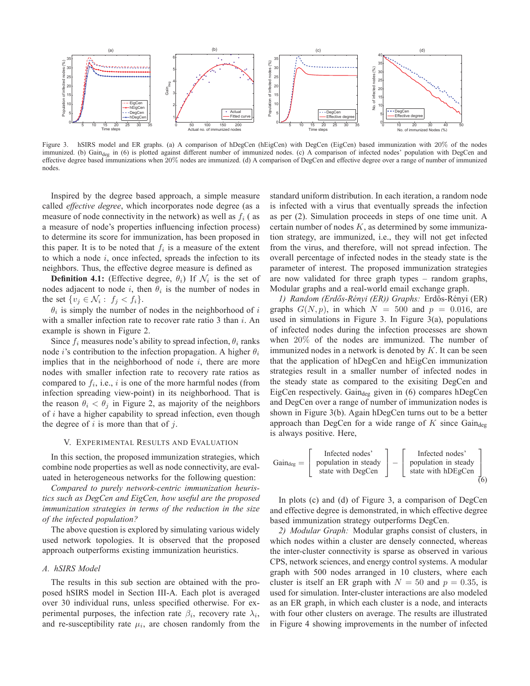

Figure 3. hSIRS model and ER graphs. (a) A comparison of hDegCen (hEigCen) with DegCen (EigCen) based immunization with 20% of the nodes immunized. (b) Gain<sub>deg</sub> in (6) is plotted against different number of immunized nodes. (c) A comparison of infected nodes' population with DegCen and effective degree based immunizations when 20% nodes are immunized. (d) A comparison of DegCen and effective degree over a range of number of immunized nodes.

Inspired by the degree based approach, a simple measure called *effective degree*, which incorporates node degree (as a measure of node connectivity in the network) as well as  $f_i$  (as a measure of node's properties influencing infection process) to determine its score for immunization, has been proposed in this paper. It is to be noted that  $f_i$  is a measure of the extent to which a node  $i$ , once infected, spreads the infection to its neighbors. Thus, the effective degree measure is defined as

**Definition 4.1:** (Effective degree,  $\theta_i$ ) If  $\mathcal{N}_i$  is the set of nodes adjacent to node i, then  $\theta_i$  is the number of nodes in the set  $\{v_j \in \mathcal{N}_i : f_j < f_i\}.$ 

 $\theta_i$  is simply the number of nodes in the neighborhood of i with a smaller infection rate to recover rate ratio  $3$  than  $i$ . An example is shown in Figure 2.

Since  $f_i$  measures node's ability to spread infection,  $\theta_i$  ranks node *i*'s contribution to the infection propagation. A higher  $\theta_i$ implies that in the neighborhood of node  $i$ , there are more nodes with smaller infection rate to recovery rate ratios as compared to  $f_i$ , i.e., i is one of the more harmful nodes (from infection spreading view-point) in its neighborhood. That is the reason  $\theta_i < \theta_j$  in Figure 2, as majority of the neighbors of  $i$  have a higher capability to spread infection, even though the degree of  $i$  is more than that of  $j$ .

## V. EXPERIMENTAL RESULTS AND EVALUATION

In this section, the proposed immunization strategies, which combine node properties as well as node connectivity, are evaluated in heterogeneous networks for the following question:

*Compared to purely network-centric immunization heuristics such as DegCen and EigCen, how useful are the proposed immunization strategies in terms of the reduction in the size of the infected population?*

The above question is explored by simulating various widely used network topologies. It is observed that the proposed approach outperforms existing immunization heuristics.

#### *A. hSIRS Model*

The results in this sub section are obtained with the proposed hSIRS model in Section III-A. Each plot is averaged over 30 individual runs, unless specified otherwise. For experimental purposes, the infection rate  $\beta_i$ , recovery rate  $\lambda_i$ , and re-susceptibility rate  $\mu_i$ , are chosen randomly from the standard uniform distribution. In each iteration, a random node is infected with a virus that eventually spreads the infection as per (2). Simulation proceeds in steps of one time unit. A certain number of nodes  $K$ , as determined by some immunization strategy, are immunized, i.e., they will not get infected from the virus, and therefore, will not spread infection. The overall percentage of infected nodes in the steady state is the parameter of interest. The proposed immunization strategies are now validated for three graph types – random graphs, Modular graphs and a real-world email exchange graph.

*1) Random (Erdos-R ˝ enyi (ER)) Graphs: ´* Erd ˝os-R´enyi (ER) graphs  $G(N, p)$ , in which  $N = 500$  and  $p = 0.016$ , are used in simulations in Figure 3. In Figure 3(a), populations of infected nodes during the infection processes are shown when 20% of the nodes are immunized. The number of immunized nodes in a network is denoted by  $K$ . It can be seen that the application of hDegCen and hEigCen immunization strategies result in a smaller number of infected nodes in the steady state as compared to the exisiting DegCen and EigCen respectively. Gain<sub>deg</sub> given in  $(6)$  compares hDegCen and DegCen over a range of number of immunization nodes is shown in Figure 3(b). Again hDegCen turns out to be a better approach than DegCen for a wide range of  $K$  since  $Gain_{deg}$ is always positive. Here,

$$
Gain_{deg} = \left[\begin{array}{c} \text{Infected nodes'} \\ \text{population in steady} \\ \text{state with DegCen} \end{array}\right] - \left[\begin{array}{c} \text{Infected nodes'} \\ \text{population in steady} \\ \text{state with hDEgCen} \end{array}\right] \tag{6}
$$

In plots (c) and (d) of Figure 3, a comparison of DegCen and effective degree is demonstrated, in which effective degree based immunization strategy outperforms DegCen.

*2) Modular Graph:* Modular graphs consist of clusters, in which nodes within a cluster are densely connected, whereas the inter-cluster connectivity is sparse as observed in various CPS, network sciences, and energy control systems. A modular graph with 500 nodes arranged in 10 clusters, where each cluster is itself an ER graph with  $N = 50$  and  $p = 0.35$ , is used for simulation. Inter-cluster interactions are also modeled as an ER graph, in which each cluster is a node, and interacts with four other clusters on average. The results are illustrated in Figure 4 showing improvements in the number of infected